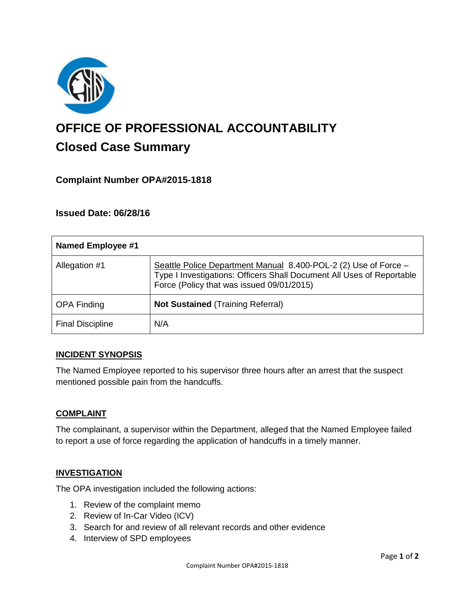

# **OFFICE OF PROFESSIONAL ACCOUNTABILITY Closed Case Summary**

## **Complaint Number OPA#2015-1818**

## **Issued Date: 06/28/16**

| Named Employee #1       |                                                                                                                                                                                       |
|-------------------------|---------------------------------------------------------------------------------------------------------------------------------------------------------------------------------------|
| Allegation #1           | Seattle Police Department Manual 8.400-POL-2 (2) Use of Force -<br>Type I Investigations: Officers Shall Document All Uses of Reportable<br>Force (Policy that was issued 09/01/2015) |
| <b>OPA Finding</b>      | <b>Not Sustained (Training Referral)</b>                                                                                                                                              |
| <b>Final Discipline</b> | N/A                                                                                                                                                                                   |

## **INCIDENT SYNOPSIS**

The Named Employee reported to his supervisor three hours after an arrest that the suspect mentioned possible pain from the handcuffs.

#### **COMPLAINT**

The complainant, a supervisor within the Department, alleged that the Named Employee failed to report a use of force regarding the application of handcuffs in a timely manner.

#### **INVESTIGATION**

The OPA investigation included the following actions:

- 1. Review of the complaint memo
- 2. Review of In-Car Video (ICV)
- 3. Search for and review of all relevant records and other evidence
- 4. Interview of SPD employees